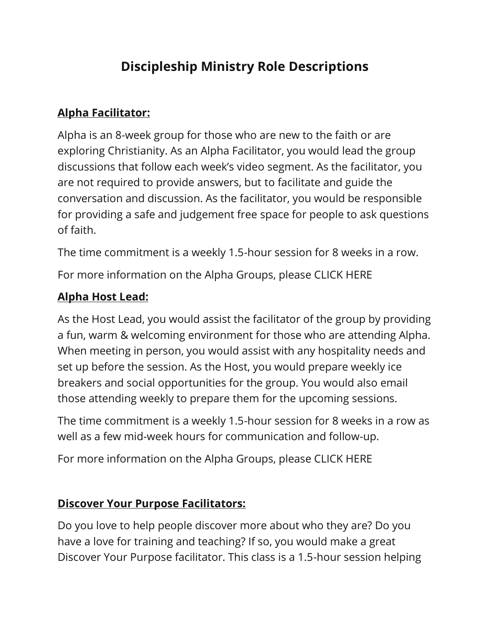# **Discipleship Ministry Role Descriptions**

#### **Alpha Facilitator:**

Alpha is an 8-week group for those who are new to the faith or are exploring Christianity. As an Alpha Facilitator, you would lead the group discussions that follow each week's video segment. As the facilitator, you are not required to provide answers, but to facilitate and guide the conversation and discussion. As the facilitator, you would be responsible for providing a safe and judgement free space for people to ask questions of faith.

The time commitment is a weekly 1.5-hour session for 8 weeks in a row.

For more information on the Alpha Groups, please CLICK HERE

#### **Alpha Host Lead:**

As the Host Lead, you would assist the facilitator of the group by providing a fun, warm & welcoming environment for those who are attending Alpha. When meeting in person, you would assist with any hospitality needs and set up before the session. As the Host, you would prepare weekly ice breakers and social opportunities for the group. You would also email those attending weekly to prepare them for the upcoming sessions.

The time commitment is a weekly 1.5-hour session for 8 weeks in a row as well as a few mid-week hours for communication and follow-up.

For more information on the Alpha Groups, please CLICK HERE

#### **Discover Your Purpose Facilitators:**

Do you love to help people discover more about who they are? Do you have a love for training and teaching? If so, you would make a great Discover Your Purpose facilitator. This class is a 1.5-hour session helping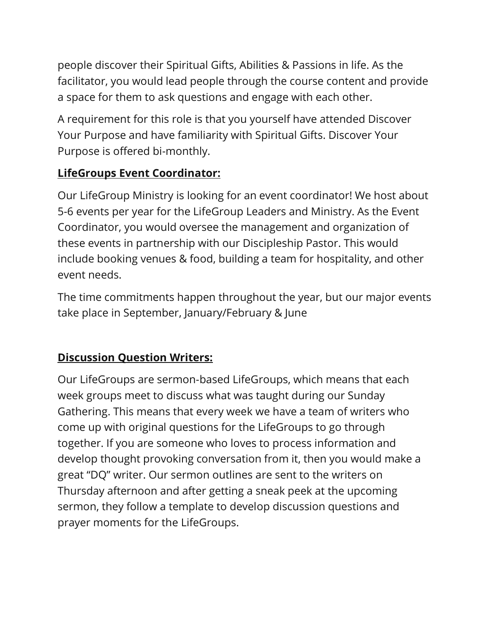people discover their Spiritual Gifts, Abilities & Passions in life. As the facilitator, you would lead people through the course content and provide a space for them to ask questions and engage with each other.

A requirement for this role is that you yourself have attended Discover Your Purpose and have familiarity with Spiritual Gifts. Discover Your Purpose is offered bi-monthly.

### **LifeGroups Event Coordinator:**

Our LifeGroup Ministry is looking for an event coordinator! We host about 5-6 events per year for the LifeGroup Leaders and Ministry. As the Event Coordinator, you would oversee the management and organization of these events in partnership with our Discipleship Pastor. This would include booking venues & food, building a team for hospitality, and other event needs.

The time commitments happen throughout the year, but our major events take place in September, January/February & June

## **Discussion Question Writers:**

Our LifeGroups are sermon-based LifeGroups, which means that each week groups meet to discuss what was taught during our Sunday Gathering. This means that every week we have a team of writers who come up with original questions for the LifeGroups to go through together. If you are someone who loves to process information and develop thought provoking conversation from it, then you would make a great "DQ" writer. Our sermon outlines are sent to the writers on Thursday afternoon and after getting a sneak peek at the upcoming sermon, they follow a template to develop discussion questions and prayer moments for the LifeGroups.